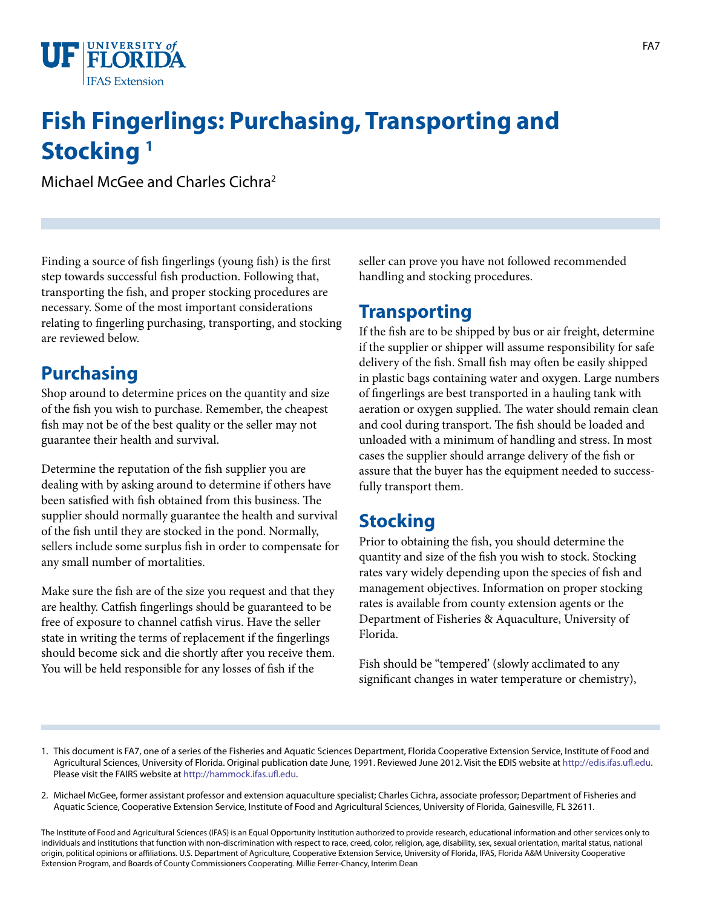

## **Fish Fingerlings: Purchasing, Transporting and Stocking 1**

Michael McGee and Charles Cichra2

Finding a source of fish fingerlings (young fish) is the first step towards successful fish production. Following that, transporting the fish, and proper stocking procedures are necessary. Some of the most important considerations relating to fingerling purchasing, transporting, and stocking are reviewed below.

## **Purchasing**

Shop around to determine prices on the quantity and size of the fish you wish to purchase. Remember, the cheapest fish may not be of the best quality or the seller may not guarantee their health and survival.

Determine the reputation of the fish supplier you are dealing with by asking around to determine if others have been satisfied with fish obtained from this business. The supplier should normally guarantee the health and survival of the fish until they are stocked in the pond. Normally, sellers include some surplus fish in order to compensate for any small number of mortalities.

Make sure the fish are of the size you request and that they are healthy. Catfish fingerlings should be guaranteed to be free of exposure to channel catfish virus. Have the seller state in writing the terms of replacement if the fingerlings should become sick and die shortly after you receive them. You will be held responsible for any losses of fish if the

seller can prove you have not followed recommended handling and stocking procedures.

## **Transporting**

If the fish are to be shipped by bus or air freight, determine if the supplier or shipper will assume responsibility for safe delivery of the fish. Small fish may often be easily shipped in plastic bags containing water and oxygen. Large numbers of fingerlings are best transported in a hauling tank with aeration or oxygen supplied. The water should remain clean and cool during transport. The fish should be loaded and unloaded with a minimum of handling and stress. In most cases the supplier should arrange delivery of the fish or assure that the buyer has the equipment needed to successfully transport them.

## **Stocking**

Prior to obtaining the fish, you should determine the quantity and size of the fish you wish to stock. Stocking rates vary widely depending upon the species of fish and management objectives. Information on proper stocking rates is available from county extension agents or the Department of Fisheries & Aquaculture, University of Florida.

Fish should be "tempered' (slowly acclimated to any significant changes in water temperature or chemistry),

- 1. This document is FA7, one of a series of the Fisheries and Aquatic Sciences Department, Florida Cooperative Extension Service, Institute of Food and Agricultural Sciences, University of Florida. Original publication date June, 1991. Reviewed June 2012. Visit the EDIS website at [http://edis.ifas.ufl.edu.](http://edis.ifas.ufl.edu) Please visit the FAIRS website at<http://hammock.ifas.ufl.edu>.
- 2. Michael McGee, former assistant professor and extension aquaculture specialist; Charles Cichra, associate professor; Department of Fisheries and Aquatic Science, Cooperative Extension Service, Institute of Food and Agricultural Sciences, University of Florida, Gainesville, FL 32611.

The Institute of Food and Agricultural Sciences (IFAS) is an Equal Opportunity Institution authorized to provide research, educational information and other services only to individuals and institutions that function with non-discrimination with respect to race, creed, color, religion, age, disability, sex, sexual orientation, marital status, national origin, political opinions or affiliations. U.S. Department of Agriculture, Cooperative Extension Service, University of Florida, IFAS, Florida A&M University Cooperative Extension Program, and Boards of County Commissioners Cooperating. Millie Ferrer-Chancy, Interim Dean